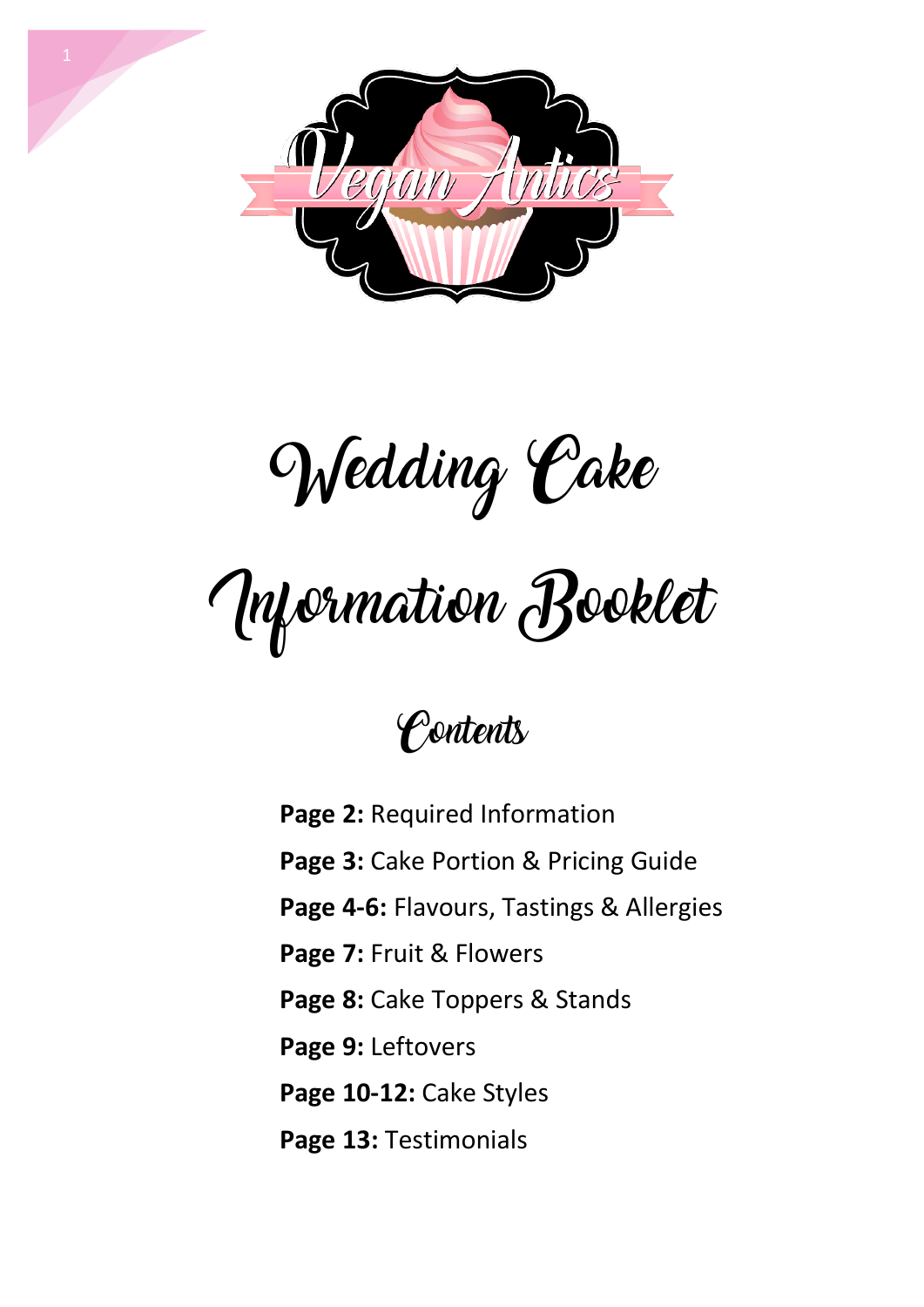

Wedding Cake

Information Booklet

### **Contents**

**Page 2:** Required Information **Page 3:** Cake Portion & Pricing Guide **Page 4-6:** Flavours, Tastings & Allergies **Page 7:** Fruit & Flowers **Page 8:** Cake Toppers & Stands **Page 9:** Leftovers **Page 10-12:** Cake Styles **Page 13:** Testimonials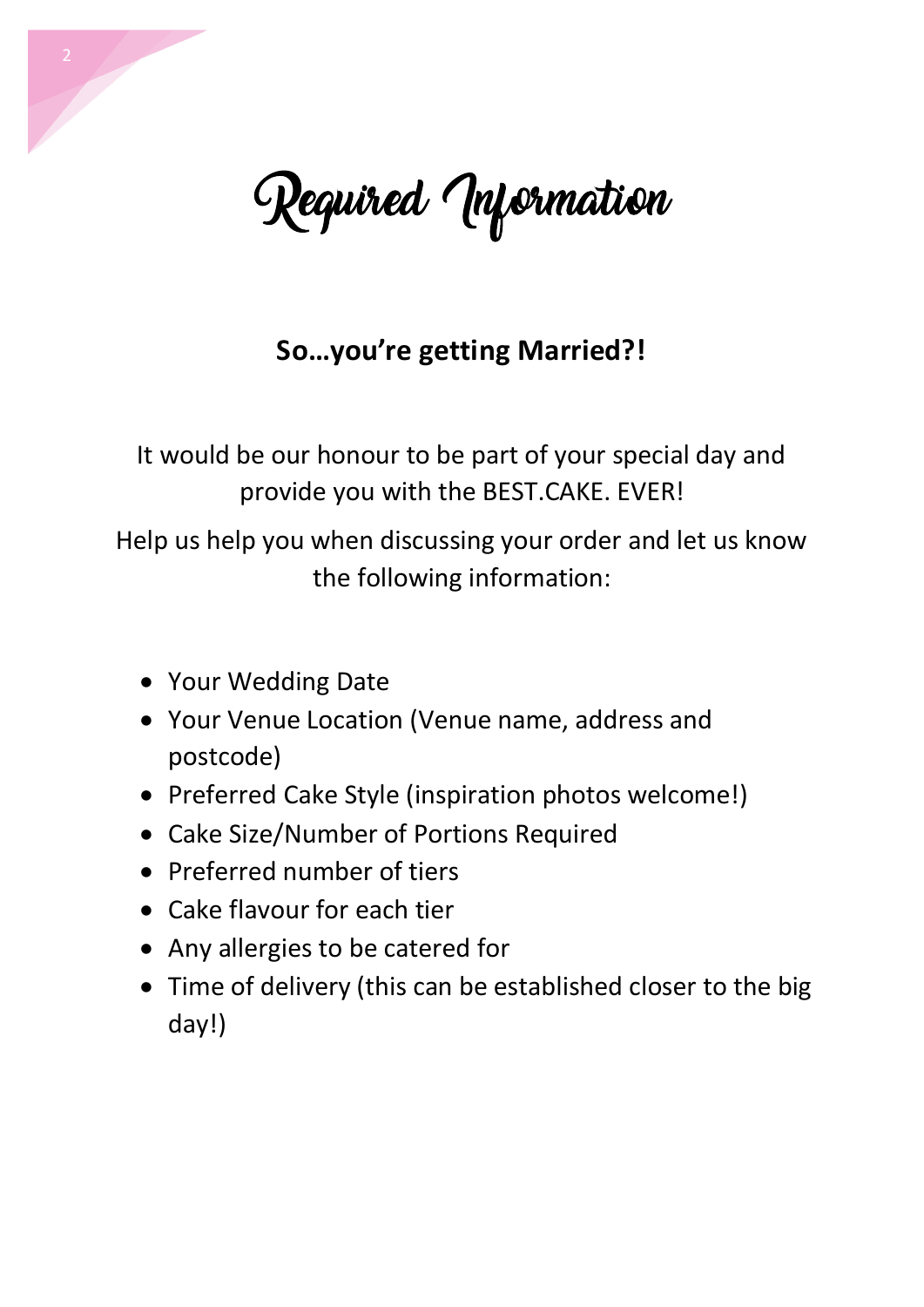

#### **So…you're getting Married?!**

It would be our honour to be part of your special day and provide you with the BEST.CAKE. EVER!

Help us help you when discussing your order and let us know the following information:

- Your Wedding Date
- Your Venue Location (Venue name, address and postcode)
- Preferred Cake Style (inspiration photos welcome!)
- Cake Size/Number of Portions Required
- Preferred number of tiers
- Cake flavour for each tier
- Any allergies to be catered for
- Time of delivery (this can be established closer to the big day!)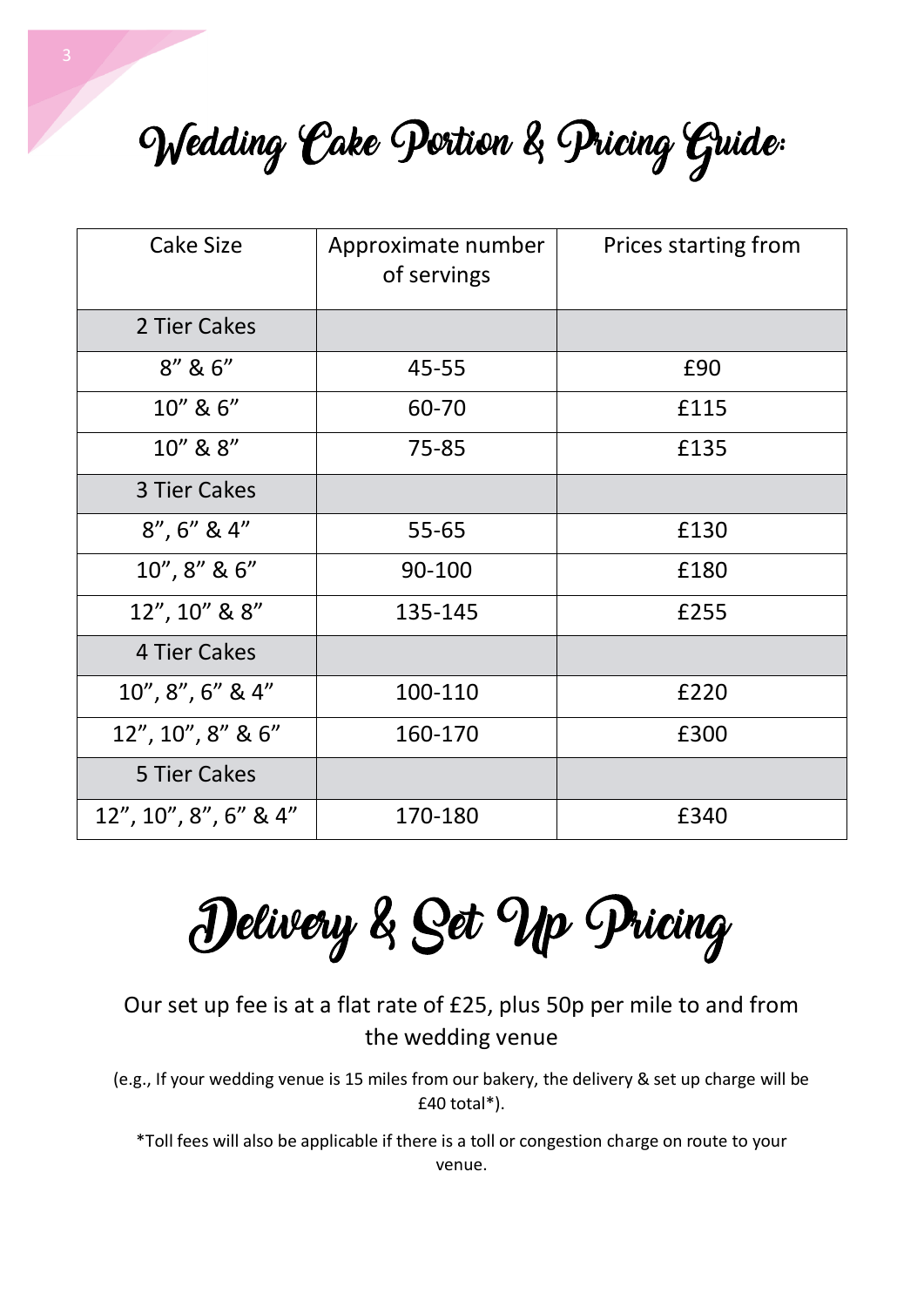Wedding Cake Portion & Pricing Guide:

| Cake Size             | Approximate number<br>of servings | Prices starting from |
|-----------------------|-----------------------------------|----------------------|
| 2 Tier Cakes          |                                   |                      |
| 8'' 8 6''             | 45-55                             | £90                  |
| 10" & 6"              | 60-70                             | £115                 |
| 10" & 8"              | 75-85                             | £135                 |
| 3 Tier Cakes          |                                   |                      |
| $8''$ , $6''$ & $4''$ | $55 - 65$                         | £130                 |
| 10", 8" & 6"          | 90-100                            | £180                 |
| 12", 10" & 8"         | 135-145                           | £255                 |
| 4 Tier Cakes          |                                   |                      |
| $10'', 8'', 6''$ & 4" | 100-110                           | £220                 |
| 12", 10", 8" & 6"     | 160-170                           | £300                 |
| 5 Tier Cakes          |                                   |                      |
| 12", 10", 8", 6" & 4" | 170-180                           | £340                 |

Delivery & Set Up Pricing

Our set up fee is at a flat rate of £25, plus 50p per mile to and from the wedding venue

(e.g., If your wedding venue is 15 miles from our bakery, the delivery & set up charge will be £40 total\*).

\*Toll fees will also be applicable if there is a toll or congestion charge on route to your venue.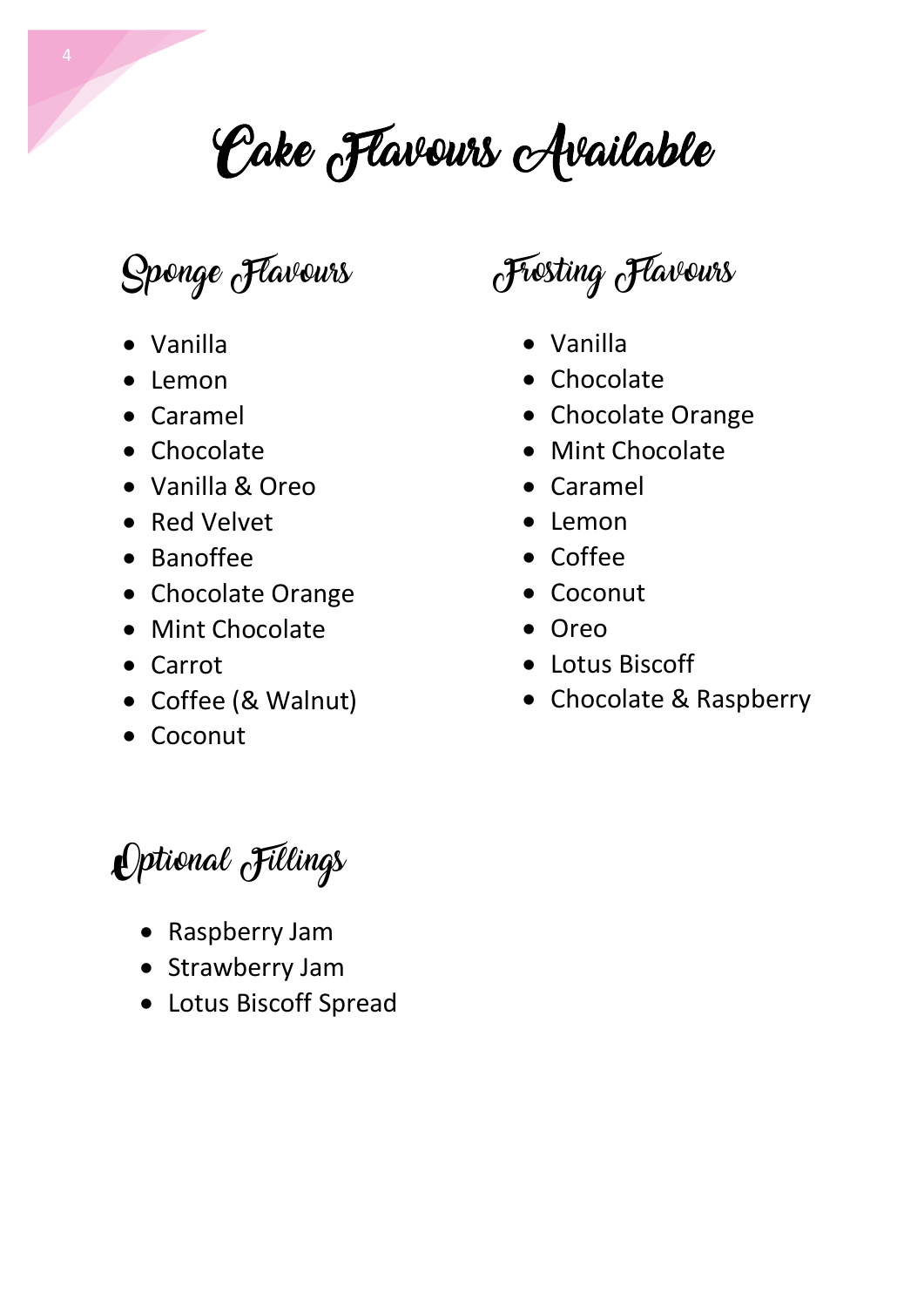# Cake Flavours Available

### Sponge Flavours

- Vanilla
- Lemon
- Caramel
- Chocolate
- Vanilla & Oreo
- Red Velvet
- Banoffee
- Chocolate Orange
- Mint Chocolate
- Carrot
- Coffee (& Walnut)
- Coconut

### Frosting Flavours

- Vanilla
- Chocolate
- Chocolate Orange
- Mint Chocolate
- Caramel
- Lemon
- Coffee
- Coconut
- Oreo
- Lotus Biscoff
- Chocolate & Raspberry

Optional Fillings

- Raspberry Jam
- Strawberry Jam
- Lotus Biscoff Spread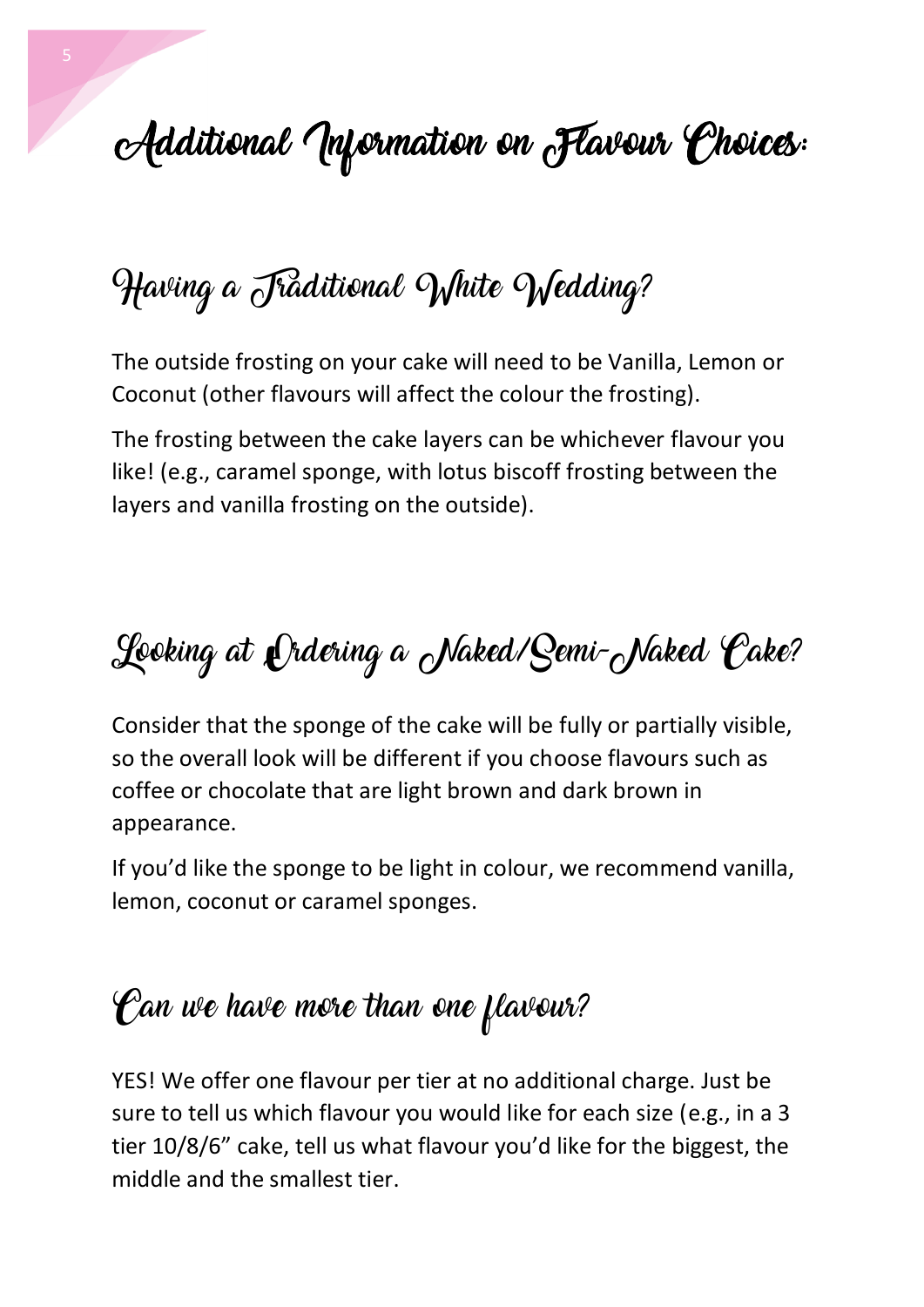## Additional Unformation on Flavour Choices:

## Having a Jraditional White Wedding?

The outside frosting on your cake will need to be Vanilla, Lemon or Coconut (other flavours will affect the colour the frosting).

The frosting between the cake layers can be whichever flavour you like! (e.g., caramel sponge, with lotus biscoff frosting between the layers and vanilla frosting on the outside).

## Looking at Ordering a Naked/Semi-Naked Cake?

Consider that the sponge of the cake will be fully or partially visible, so the overall look will be different if you choose flavours such as coffee or chocolate that are light brown and dark brown in appearance.

If you'd like the sponge to be light in colour, we recommend vanilla, lemon, coconut or caramel sponges.

### Can we have more than one flavour?

YES! We offer one flavour per tier at no additional charge. Just be sure to tell us which flavour you would like for each size (e.g., in a 3 tier 10/8/6" cake, tell us what flavour you'd like for the biggest, the middle and the smallest tier.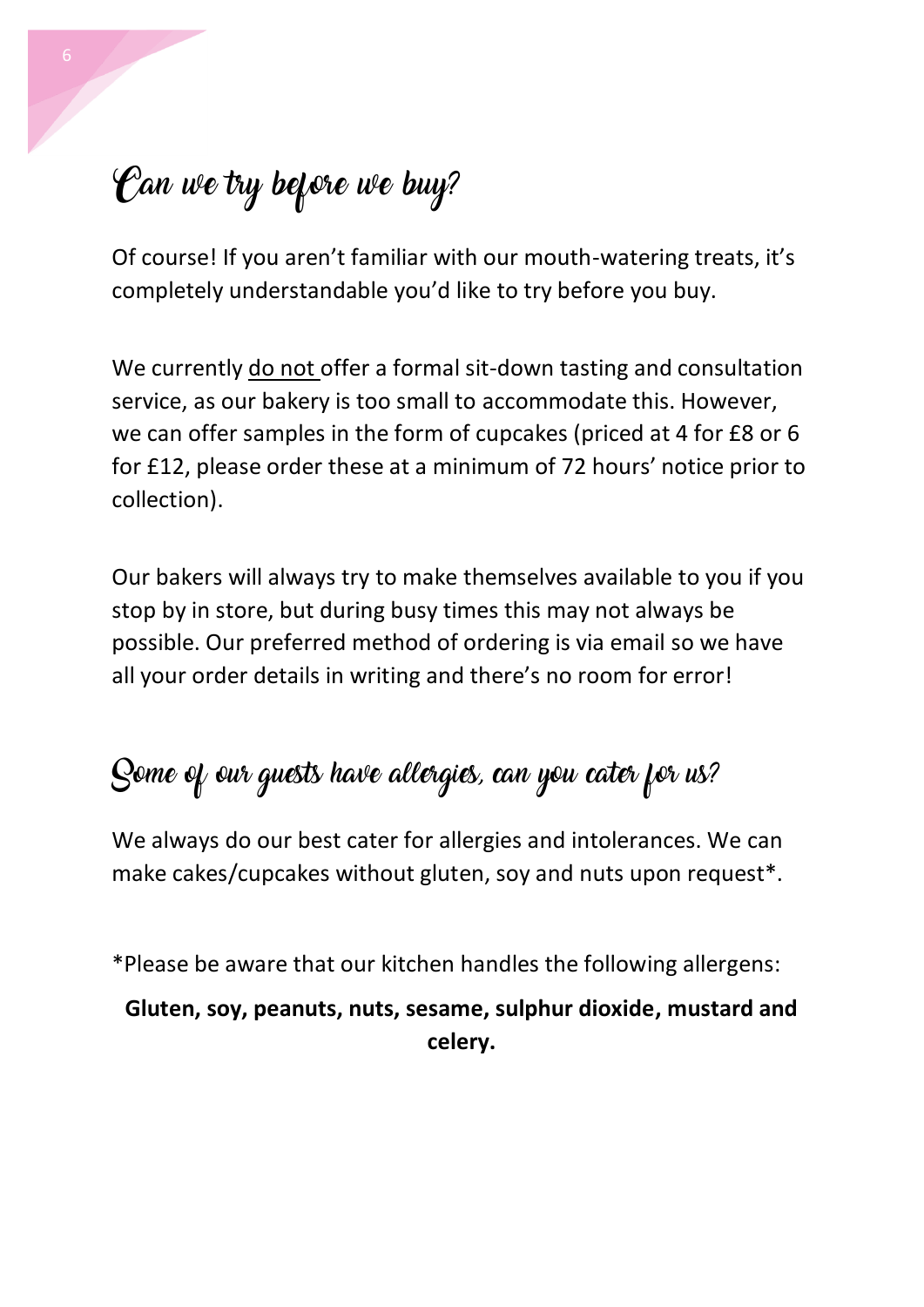### Can we try before we buy?

Of course! If you aren't familiar with our mouth-watering treats, it's completely understandable you'd like to try before you buy.

We currently do not offer a formal sit-down tasting and consultation service, as our bakery is too small to accommodate this. However, we can offer samples in the form of cupcakes (priced at 4 for £8 or 6 for £12, please order these at a minimum of 72 hours' notice prior to collection).

Our bakers will always try to make themselves available to you if you stop by in store, but during busy times this may not always be possible. Our preferred method of ordering is via email so we have all your order details in writing and there's no room for error!

### Some of our guests have allergies, can you cater for us?

We always do our best cater for allergies and intolerances. We can make cakes/cupcakes without gluten, soy and nuts upon request\*.

\*Please be aware that our kitchen handles the following allergens:

#### **Gluten, soy, peanuts, nuts, sesame, sulphur dioxide, mustard and celery.**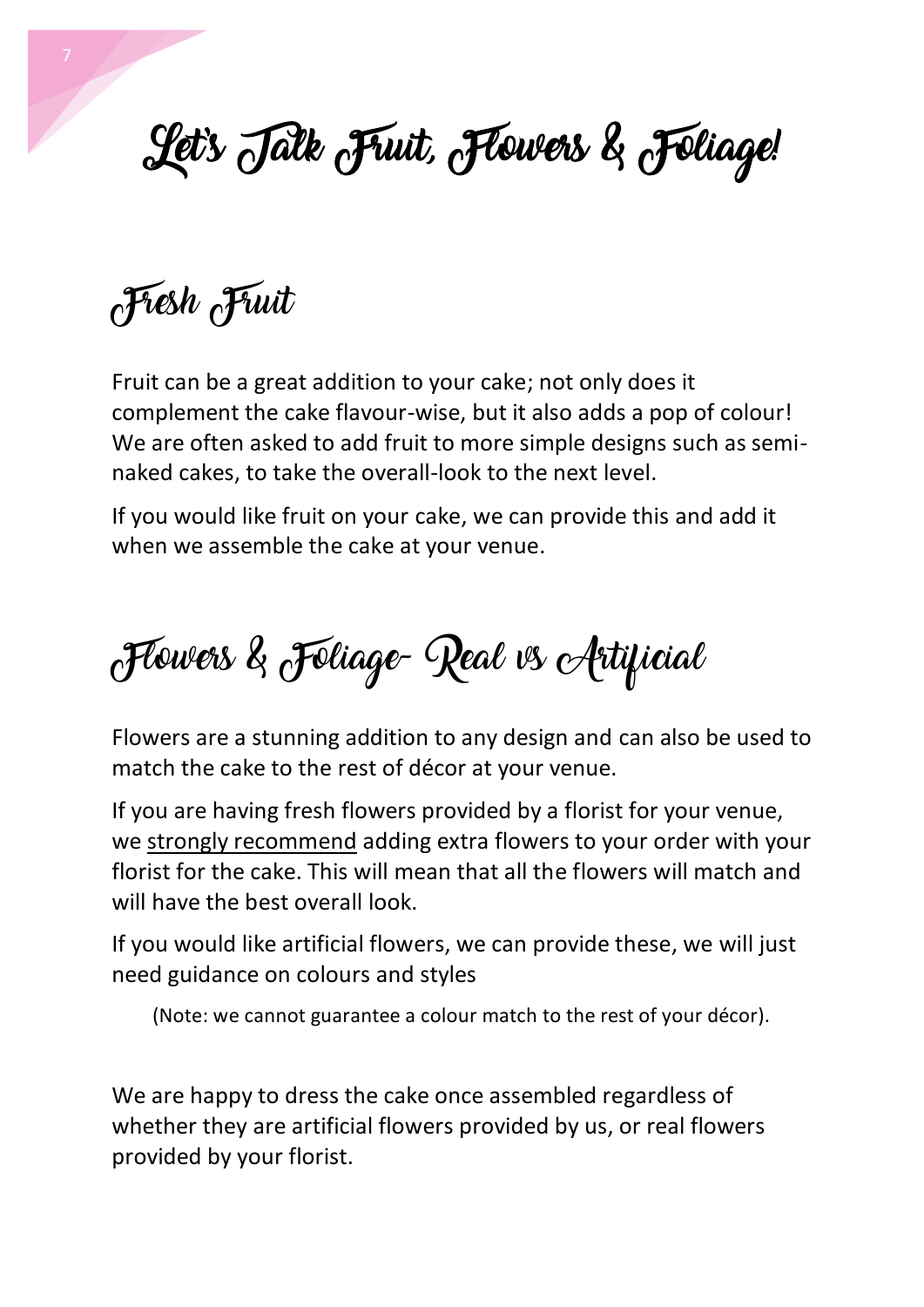# Let's Talk Fruit, Flowers & Foliage!

Fresh Fruit

Fruit can be a great addition to your cake; not only does it complement the cake flavour-wise, but it also adds a pop of colour! We are often asked to add fruit to more simple designs such as seminaked cakes, to take the overall-look to the next level.

If you would like fruit on your cake, we can provide this and add it when we assemble the cake at your venue.

# Flowers & Foliage- Real vs Artificial

Flowers are a stunning addition to any design and can also be used to match the cake to the rest of décor at your venue.

If you are having fresh flowers provided by a florist for your venue, we strongly recommend adding extra flowers to your order with your florist for the cake. This will mean that all the flowers will match and will have the best overall look.

If you would like artificial flowers, we can provide these, we will just need guidance on colours and styles

(Note: we cannot guarantee a colour match to the rest of your décor).

We are happy to dress the cake once assembled regardless of whether they are artificial flowers provided by us, or real flowers provided by your florist.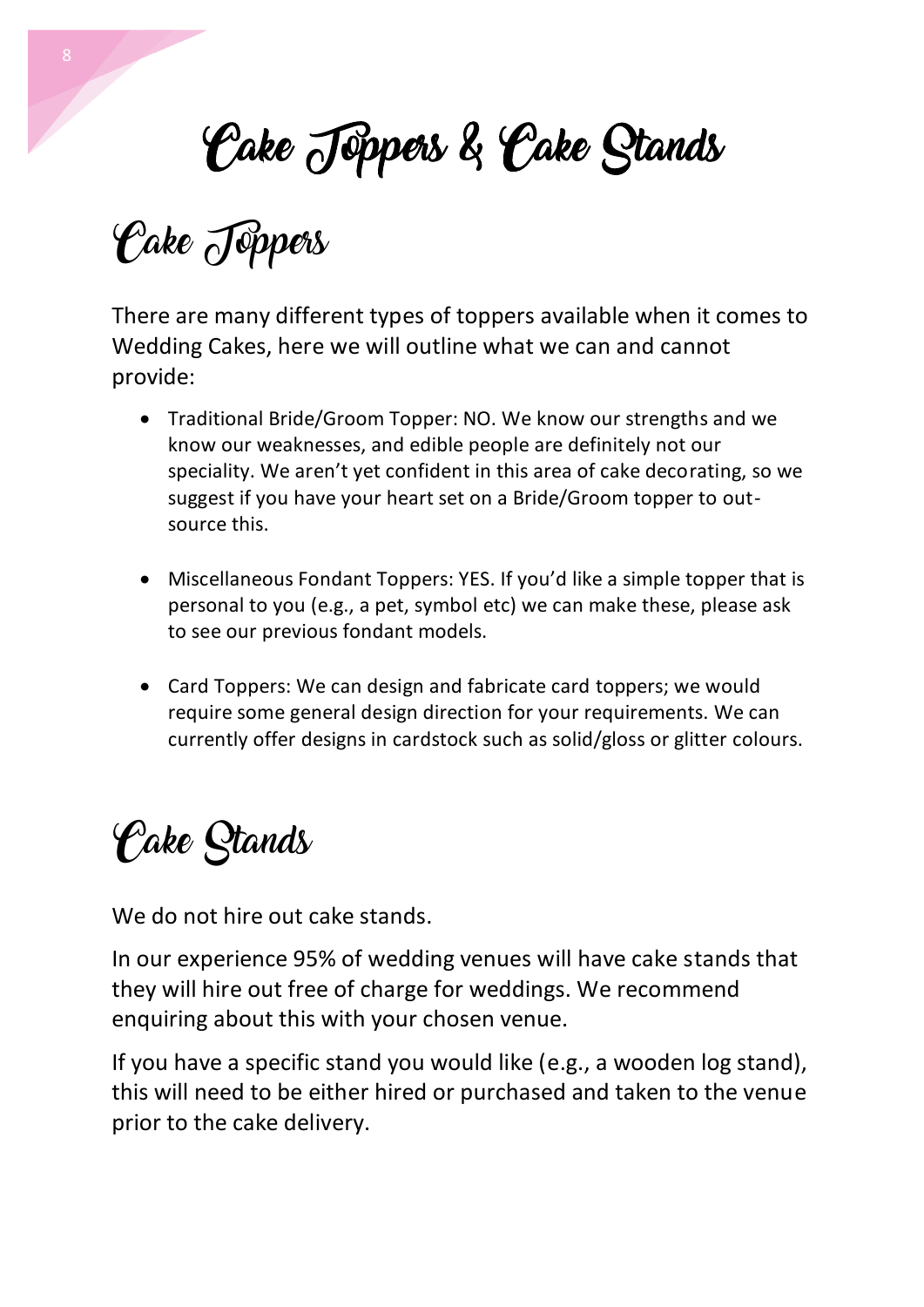# Cake Toppers & Cake Stands

**Cake** Jeppers

There are many different types of toppers available when it comes to Wedding Cakes, here we will outline what we can and cannot provide:

- Traditional Bride/Groom Topper: NO. We know our strengths and we know our weaknesses, and edible people are definitely not our speciality. We aren't yet confident in this area of cake decorating, so we suggest if you have your heart set on a Bride/Groom topper to outsource this.
- Miscellaneous Fondant Toppers: YES. If you'd like a simple topper that is personal to you (e.g., a pet, symbol etc) we can make these, please ask to see our previous fondant models.
- Card Toppers: We can design and fabricate card toppers; we would require some general design direction for your requirements. We can currently offer designs in cardstock such as solid/gloss or glitter colours.

## Cake Stands

We do not hire out cake stands.

In our experience 95% of wedding venues will have cake stands that they will hire out free of charge for weddings. We recommend enquiring about this with your chosen venue.

If you have a specific stand you would like (e.g., a wooden log stand), this will need to be either hired or purchased and taken to the venue prior to the cake delivery.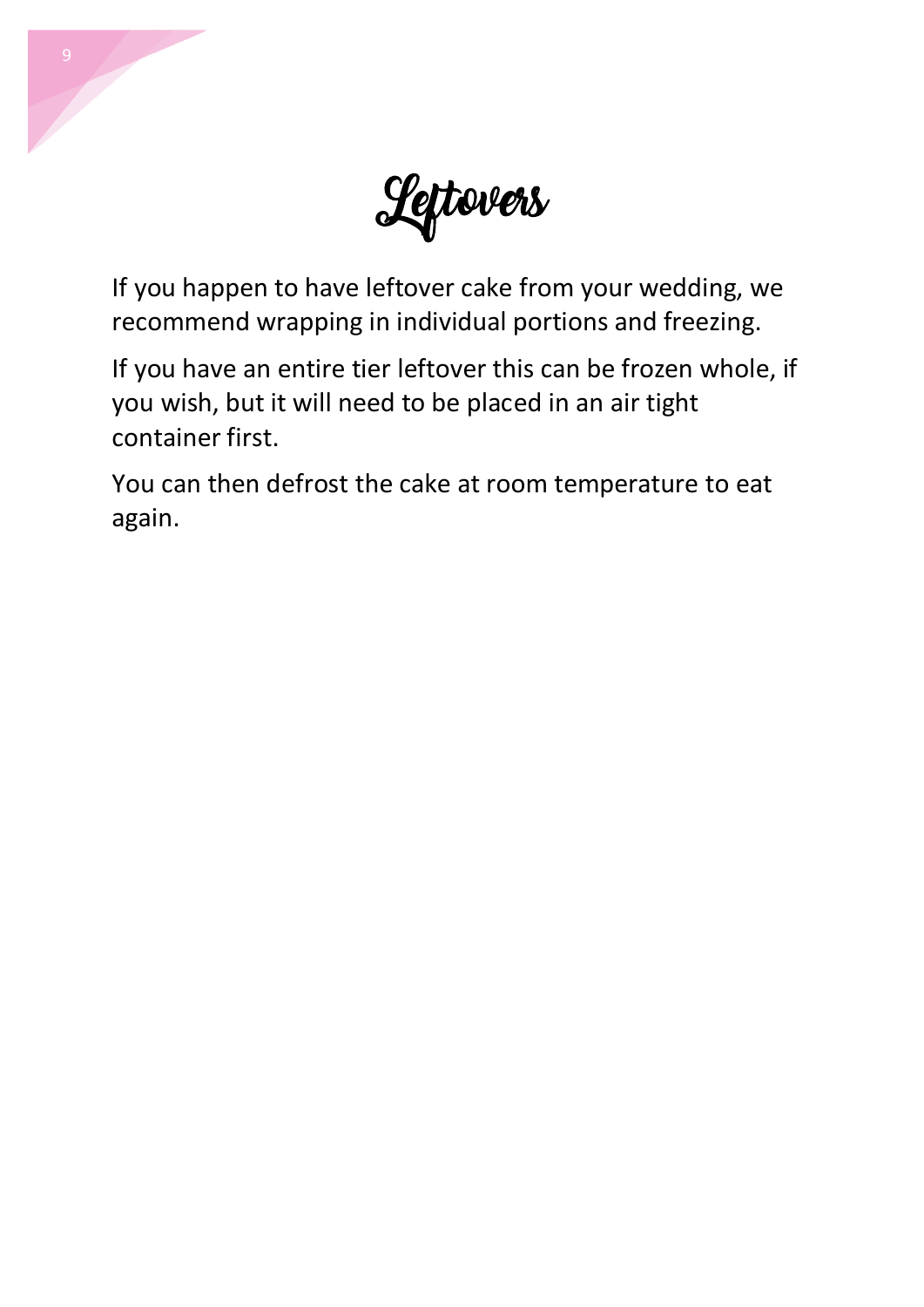

If you happen to have leftover cake from your wedding, we recommend wrapping in individual portions and freezing.

If you have an entire tier leftover this can be frozen whole, if you wish, but it will need to be placed in an air tight container first.

You can then defrost the cake at room temperature to eat again.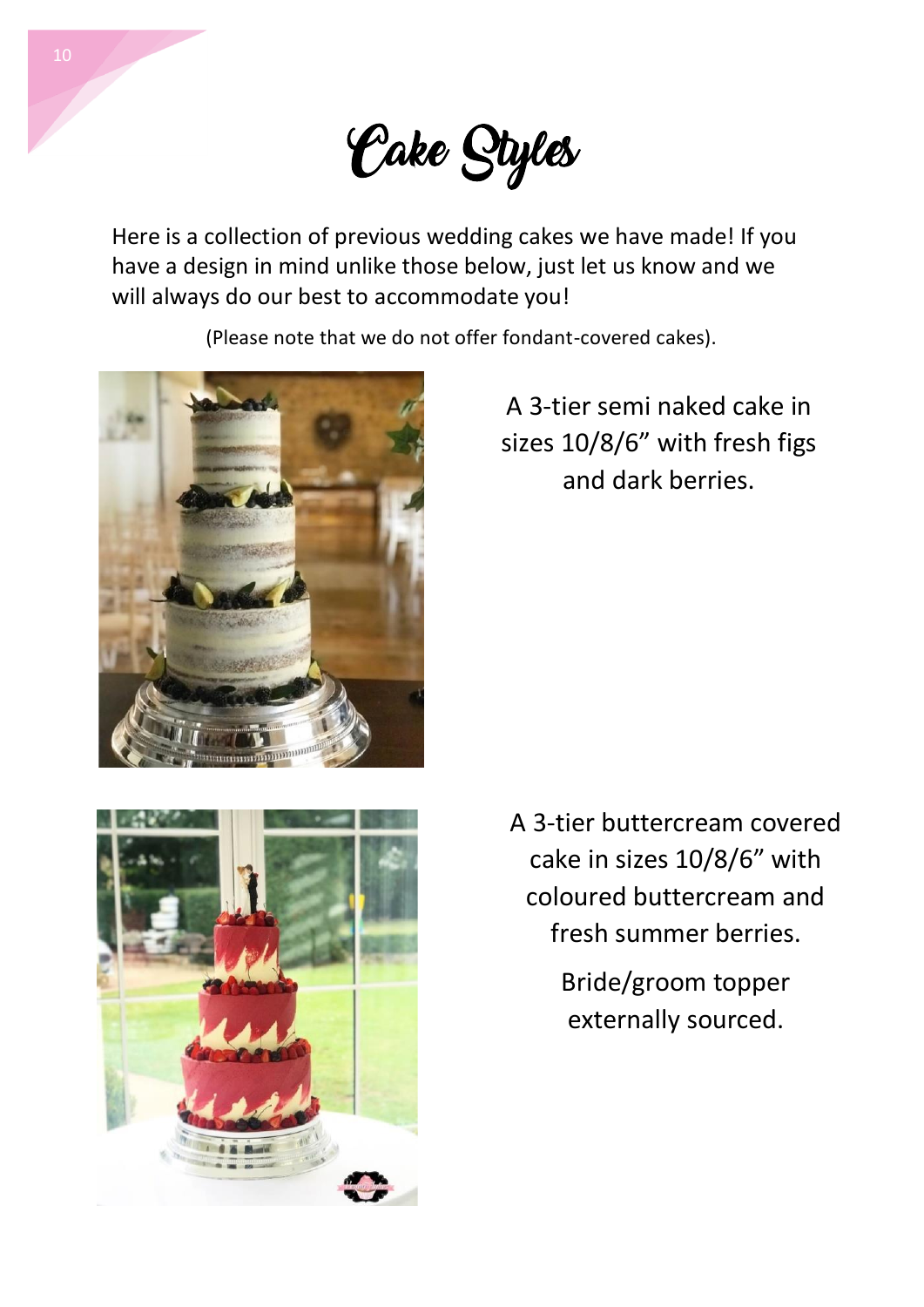

Here is a collection of previous wedding cakes we have made! If you have a design in mind unlike those below, just let us know and we will always do our best to accommodate you!

(Please note that we do not offer fondant-covered cakes).



A 3-tier semi naked cake in sizes 10/8/6" with fresh figs and dark berries.



A 3-tier buttercream covered cake in sizes 10/8/6" with coloured buttercream and fresh summer berries.

> Bride/groom topper externally sourced.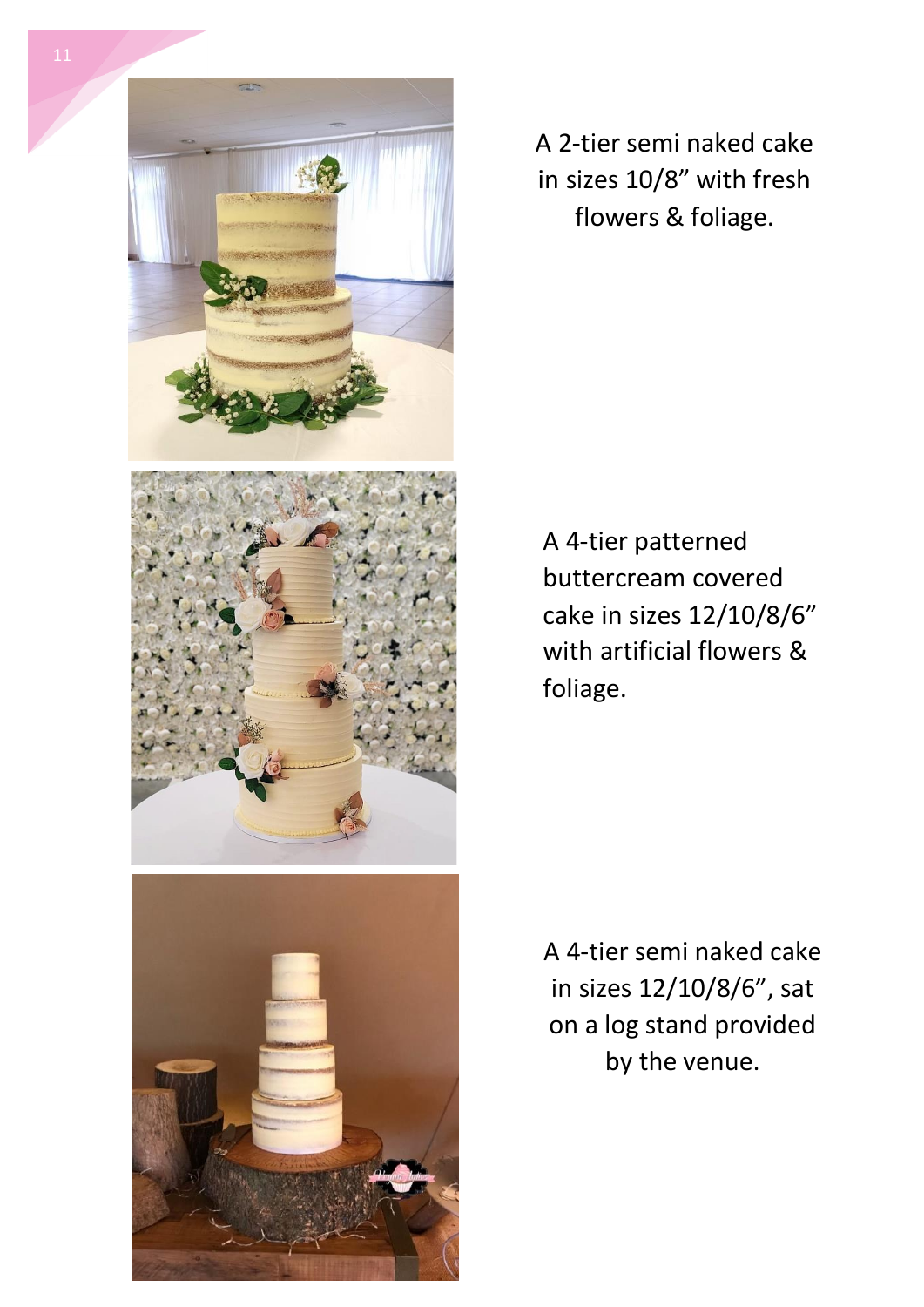

A 2-tier semi naked cake in sizes 10/8" with fresh flowers & foliage.

A 4-tier patterned buttercream covered cake in sizes 12/10/8/6" with artificial flowers & foliage.

A 4-tier semi naked cake in sizes 12/10/8/6", sat on a log stand provided by the venue.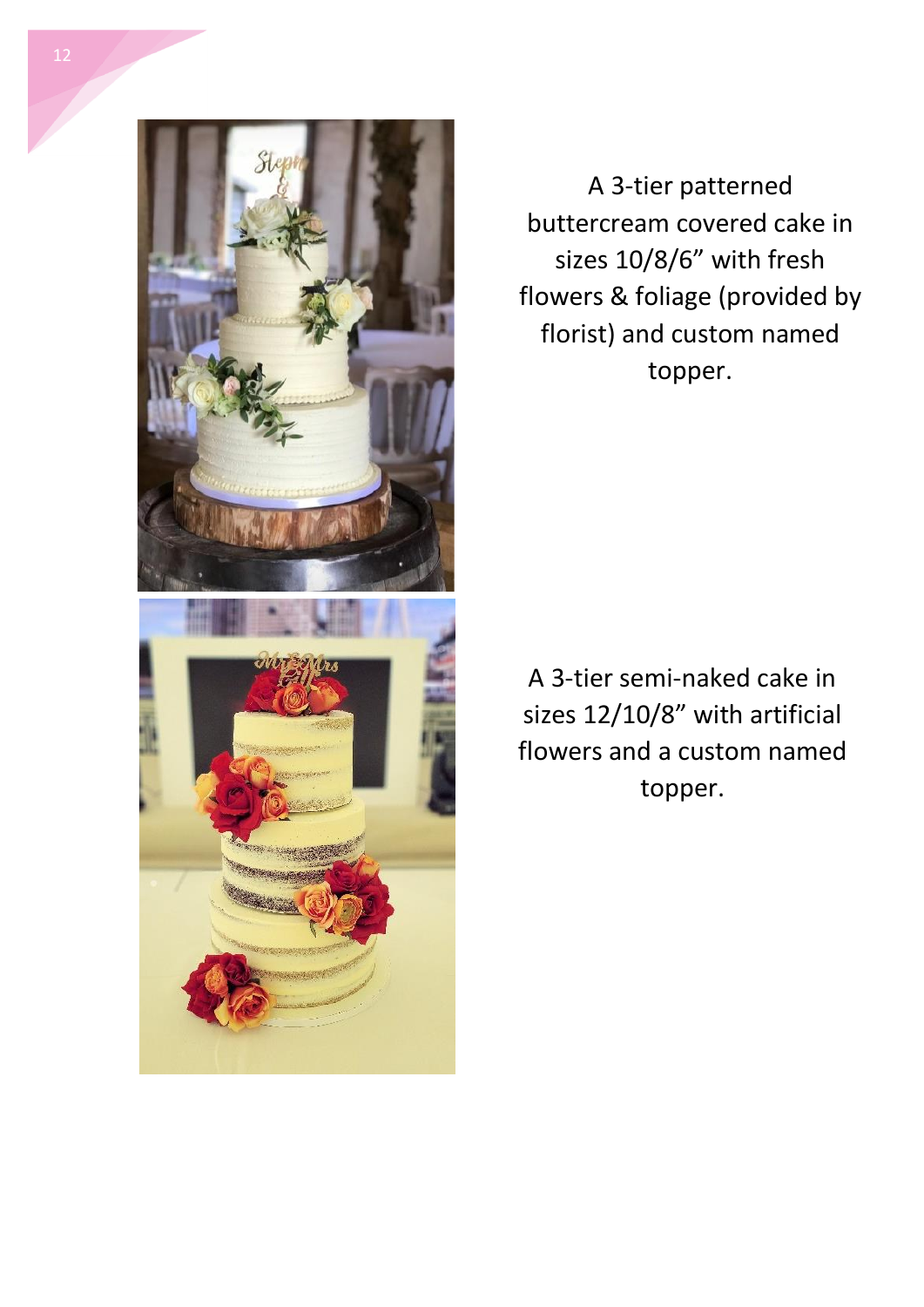

A 3-tier patterned buttercream covered cake in sizes 10/8/6" with fresh flowers & foliage (provided by florist) and custom named topper.

A 3-tier semi-naked cake in sizes 12/10/8" with artificial flowers and a custom named topper.